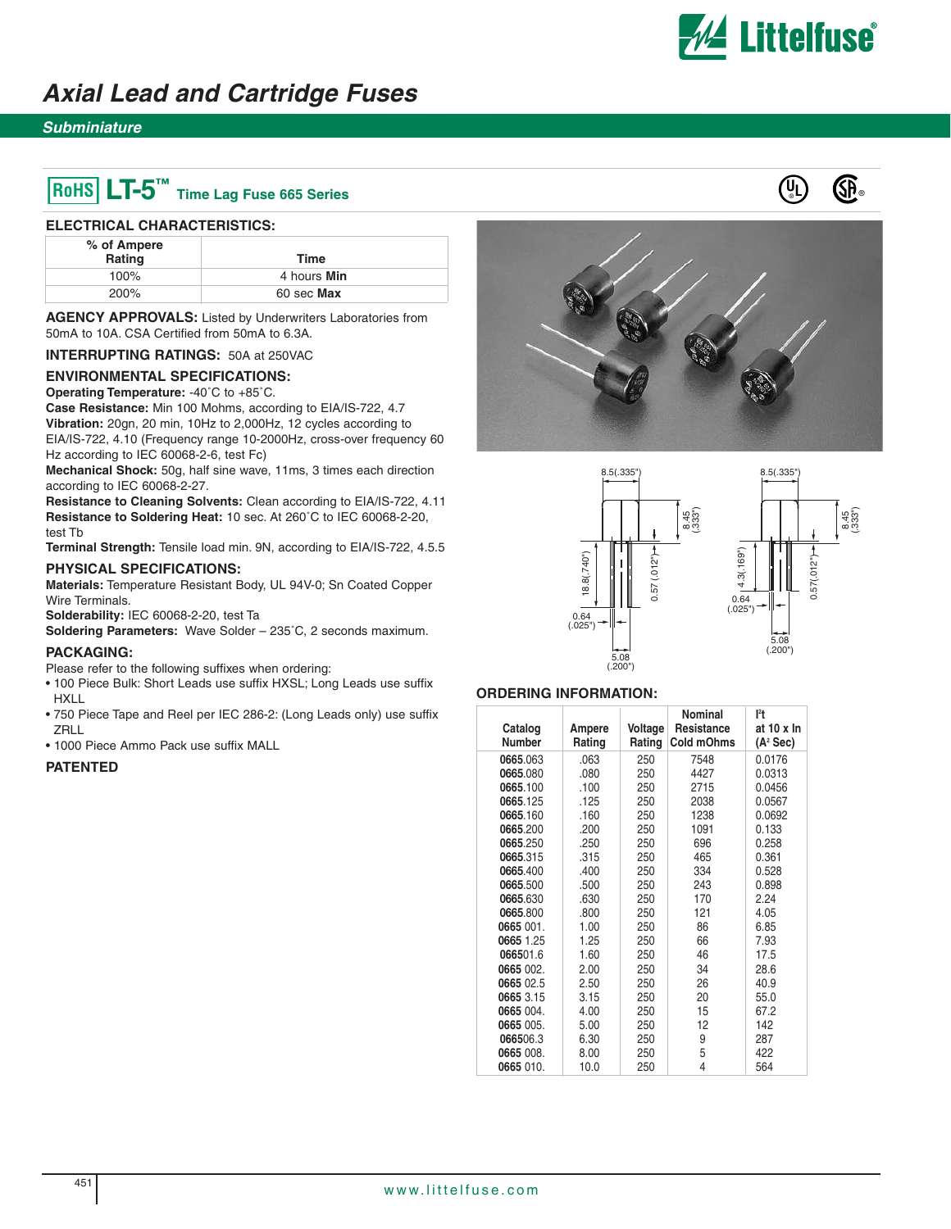

8.5(.335")

5.08 (.200")

 $0.57(.012"$  $0.57(.012")$ 

# **Axial Lead and Cartridge Fuses**

## **Subminiature**

# $\begin{pmatrix} 0 \\ 1 \end{pmatrix}$  **LT-5**  $\blacksquare$  **T** ime Lag Fuse 665 Series

#### **ELECTRICAL CHARACTERISTICS:**

| % of Ampere<br>Rating | Time        |
|-----------------------|-------------|
| $100\%$               | 4 hours Min |
| 200%                  | 60 sec Max  |

**AGENCY APPROVALS:** Listed by Underwriters Laboratories from 50mA to 10A. CSA Certified from 50mA to 6.3A.

**INTERRUPTING RATINGS:** 50A at 250VAC

### **ENVIRONMENTAL SPECIFICATIONS:**

**Operating Temperature:** -40˚C to +85˚C.

**Case Resistance:** Min 100 Mohms, according to EIA/IS-722, 4.7 **Vibration:** 20gn, 20 min, 10Hz to 2,000Hz, 12 cycles according to

EIA/IS-722, 4.10 (Frequency range 10-2000Hz, cross-over frequency 60 Hz according to IEC 60068-2-6, test Fc)

**Mechanical Shock:** 50g, half sine wave, 11ms, 3 times each direction according to IEC 60068-2-27.

**Resistance to Cleaning Solvents:** Clean according to EIA/IS-722, 4.11 **Resistance to Soldering Heat:** 10 sec. At 260˚C to IEC 60068-2-20, test Tb

**Terminal Strength:** Tensile load min. 9N, according to EIA/IS-722, 4.5.5

### **PHYSICAL SPECIFICATIONS:**

**Materials:** Temperature Resistant Body, UL 94V-0; Sn Coated Copper Wire Terminals.

**Solderability:** IEC 60068-2-20, test Ta

**Soldering Parameters:** Wave Solder – 235˚C, 2 seconds maximum.

#### **PACKAGING:**

Please refer to the following suffixes when ordering:

- 100 Piece Bulk: Short Leads use suffix HXSL; Long Leads use suffix HXLL
- 750 Piece Tape and Reel per IEC 286-2: (Long Leads only) use suffix **ZRLL**
- 1000 Piece Ammo Pack use suffix MALL

### **PATENTED**





#### **ORDERING INFORMATION:**

| Catalog<br><b>Number</b> | Ampere<br>Rating | Voltage<br>Rating | <b>Nominal</b><br>Resistance<br>Cold mOhms | l <sup>2</sup> t<br>at 10 x In<br>$(A^2 Sec)$ |
|--------------------------|------------------|-------------------|--------------------------------------------|-----------------------------------------------|
| 0665.063                 | .063             | 250               | 7548                                       | 0.0176                                        |
| 0665.080                 | .080             | 250               | 4427                                       | 0.0313                                        |
| 0665.100                 | .100             | 250               | 2715                                       | 0.0456                                        |
| 0665.125                 | .125             | 250               | 2038                                       | 0.0567                                        |
| 0665.160                 | .160             | 250               | 1238                                       | 0.0692                                        |
| 0665.200                 | .200             | 250               | 1091                                       | 0.133                                         |
| 0665.250                 | .250             | 250               | 696                                        | 0.258                                         |
| 0665.315                 | .315             | 250               | 465                                        | 0.361                                         |
| 0665.400                 | .400             | 250               | 334                                        | 0.528                                         |
| 0665.500                 | .500             | 250               | 243                                        | 0.898                                         |
| 0665.630                 | .630             | 250               | 170                                        | 2.24                                          |
| 0665.800                 | .800             | 250               | 121                                        | 4.05                                          |
| 0665 001.                | 1.00             | 250               | 86                                         | 6.85                                          |
| 0665 1.25                | 1.25             | 250               | 66                                         | 7.93                                          |
| 066501.6                 | 1.60             | 250               | 46                                         | 17.5                                          |
| 0665 002.                | 2.00             | 250               | 34                                         | 28.6                                          |
| 0665 02.5                | 2.50             | 250               | 26                                         | 40.9                                          |
| 0665 3.15                | 3.15             | 250               | 20                                         | 55.0                                          |
| 0665 004.                | 4.00             | 250               | 15                                         | 67.2                                          |
| 0665 005.                | 5.00             | 250               | 12                                         | 142                                           |
| 066506.3                 | 6.30             | 250               | 9                                          | 287                                           |
| 0665 008.                | 8.00             | 250               | 5                                          | 422                                           |
| 0665 010.                | 10.0             | 250               | 4                                          | 564                                           |